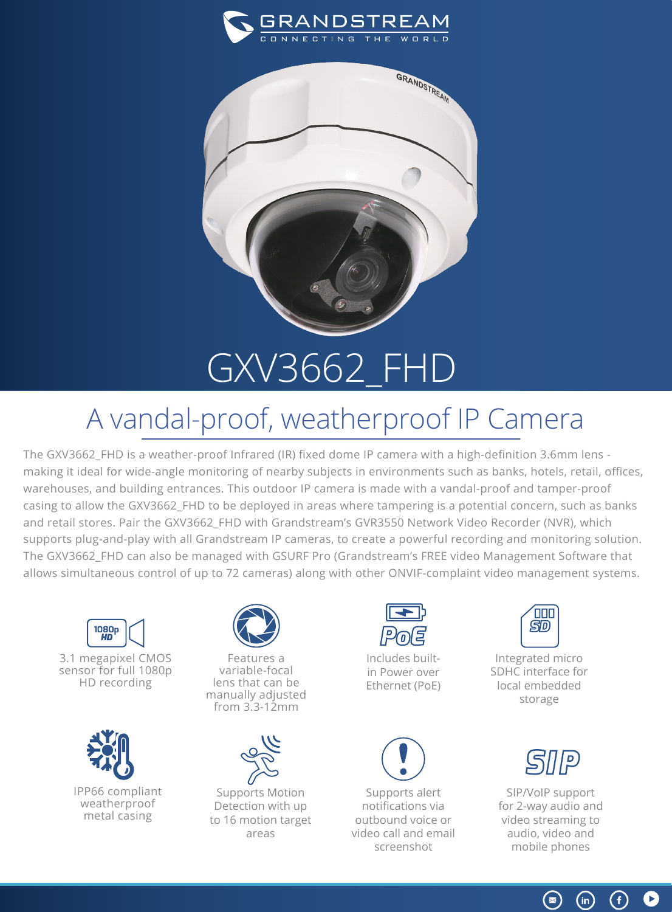



## GXV3662\_FHD

## A vandal-proof, weatherproof IP Camera

The GXV3662\_FHD is a weather-proof Infrared (IR) fixed dome IP camera with a high-definition 3.6mm lens making it ideal for wide-angle monitoring of nearby subjects in environments such as banks, hotels, retail, offices, warehouses, and building entrances. This outdoor IP camera is made with a vandal-proof and tamper-proof casing to allow the GXV3662\_FHD to be deployed in areas where tampering is a potential concern, such as banks and retail stores. Pair the GXV3662\_FHD with Grandstream's GVR3550 Network Video Recorder (NVR), which supports plug-and-play with all Grandstream IP cameras, to create a powerful recording and monitoring solution. The GXV3662\_FHD can also be managed with GSURF Pro (Grandstream's FREE video Management Software that allows simultaneous control of up to 72 cameras) along with other ONVIF-complaint video management systems.



3.1 megapixel CMOS sensor for full 1080p HD recording





Features a variable-focal lens that can be manually adjusted from 3.3-12mm



Supports Motion Detection with up to 16 motion target areas



Includes builtin Power over Ethernet (PoE)



Supports alert notifications via outbound voice or video call and email screenshot



Integrated micro SDHC interface for local embedded storage



SIP/VoIP support for 2-way audio and video streaming to audio, video and mobile phones